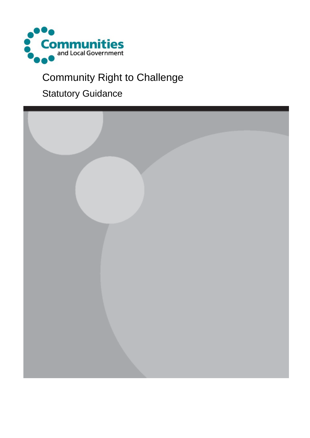

## Community Right to Challenge

### Statutory Guidance

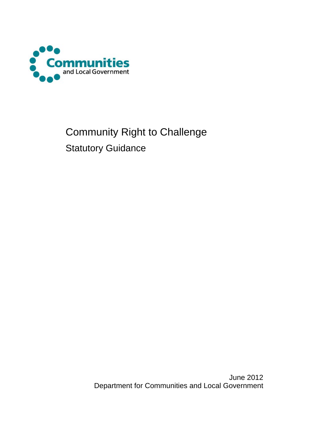

## Community Right to Challenge Statutory Guidance

June 2012 Department for Communities and Local Government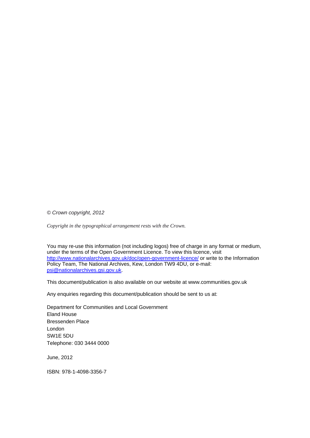*© Crown copyright, 2012* 

*Copyright in the typographical arrangement rests with the Crown.*

You may re-use this information (not including logos) free of charge in any format or medium, under the terms of the Open Government Licence. To view this licence, visit <http://www.nationalarchives.gov.uk/doc/open-government-licence/> or write to the Information Policy Team, The National Archives, Kew, London TW9 4DU, or e-mail: [psi@nationalarchives.gsi.gov.uk.](mailto:psi@nationalarchives.gsi.gov.uk)

This document/publication is also available on our website at www.communities.gov.uk

Any enquiries regarding this document/publication should be sent to us at:

Department for Communities and Local Government Eland House Bressenden Place London SW1E 5DU Telephone: 030 3444 0000

June, 2012

ISBN: 978-1-4098-3356-7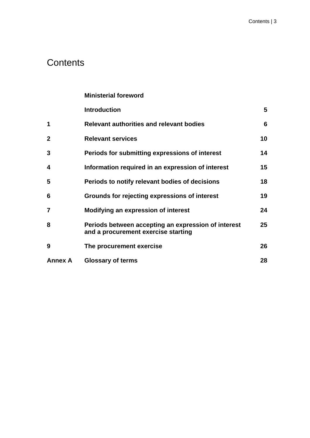### **Contents**

|                | <b>Ministerial foreword</b>                                                                |    |
|----------------|--------------------------------------------------------------------------------------------|----|
|                | <b>Introduction</b>                                                                        | 5  |
| 1              | <b>Relevant authorities and relevant bodies</b>                                            | 6  |
| $\overline{2}$ | <b>Relevant services</b>                                                                   | 10 |
| 3              | Periods for submitting expressions of interest                                             | 14 |
| 4              | Information required in an expression of interest                                          | 15 |
| 5              | Periods to notify relevant bodies of decisions                                             | 18 |
| 6              | Grounds for rejecting expressions of interest                                              | 19 |
| 7              | Modifying an expression of interest                                                        | 24 |
| 8              | Periods between accepting an expression of interest<br>and a procurement exercise starting | 25 |
| 9              | The procurement exercise                                                                   | 26 |
| <b>Annex A</b> | <b>Glossary of terms</b>                                                                   | 28 |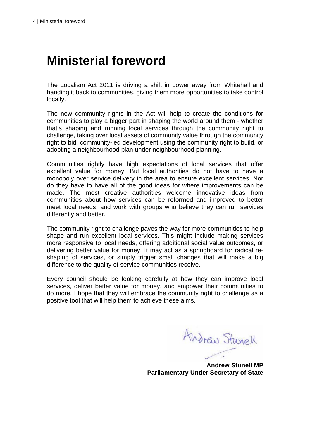## **Ministerial foreword**

The Localism Act 2011 is driving a shift in power away from Whitehall and handing it back to communities, giving them more opportunities to take control locally.

The new community rights in the Act will help to create the conditions for communities to play a bigger part in shaping the world around them - whether that's shaping and running local services through the community right to challenge, taking over local assets of community value through the community right to bid, community-led development using the community right to build, or adopting a neighbourhood plan under neighbourhood planning.

Communities rightly have high expectations of local services that offer excellent value for money. But local authorities do not have to have a monopoly over service delivery in the area to ensure excellent services. Nor do they have to have all of the good ideas for where improvements can be made. The most creative authorities welcome innovative ideas from communities about how services can be reformed and improved to better meet local needs, and work with groups who believe they can run services differently and better.

The community right to challenge paves the way for more communities to help shape and run excellent local services. This might include making services more responsive to local needs, offering additional social value outcomes, or delivering better value for money. It may act as a springboard for radical reshaping of services, or simply trigger small changes that will make a big difference to the quality of service communities receive.

Every council should be looking carefully at how they can improve local services, deliver better value for money, and empower their communities to do more. I hope that they will embrace the community right to challenge as a positive tool that will help them to achieve these aims.

Andraw Stunell

**Andrew Stunell MP Parliamentary Under Secretary of State**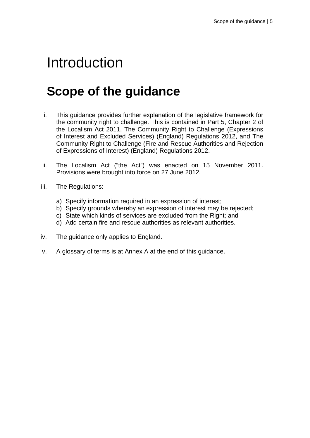## Introduction

## **Scope of the guidance**

- i. This guidance provides further explanation of the legislative framework for the community right to challenge. This is contained in Part 5, Chapter 2 of the Localism Act 2011, The Community Right to Challenge (Expressions of Interest and Excluded Services) (England) Regulations 2012, and The Community Right to Challenge (Fire and Rescue Authorities and Rejection of Expressions of Interest) (England) Regulations 2012.
- ii. The Localism Act ("the Act") was enacted on 15 November 2011. Provisions were brought into force on 27 June 2012.
- iii. The Regulations:
	- a) Specify information required in an expression of interest;
	- b) Specify grounds whereby an expression of interest may be rejected;
	- c) State which kinds of services are excluded from the Right; and
	- d) Add certain fire and rescue authorities as relevant authorities.
- iv. The guidance only applies to England.
- v. A glossary of terms is at Annex A at the end of this guidance.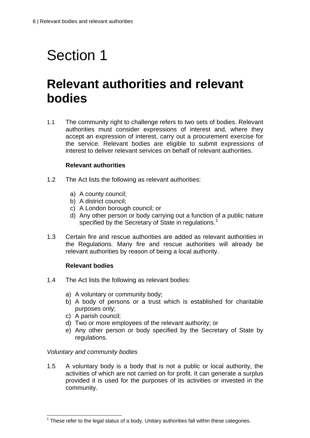## **Relevant authorities and relevant bodies**

1.1 The community right to challenge refers to two sets of bodies. Relevant authorities must consider expressions of interest and, where they accept an expression of interest, carry out a procurement exercise for the service. Relevant bodies are eligible to submit expressions of interest to deliver relevant services on behalf of relevant authorities.

#### **Relevant authorities**

- 1.2 The Act lists the following as relevant authorities:
	- a) A county council;
	- b) A district council;
	- c) A London borough council; or
	- d) Any other person or body carrying out a function of a public nature specified by the Secretary of State in regulations.<sup>[1](#page-6-0)</sup>
- 1.3 Certain fire and rescue authorities are added as relevant authorities in the Regulations. Many fire and rescue authorities will already be relevant authorities by reason of being a local authority.

#### **Relevant bodies**

- 1.4 The Act lists the following as relevant bodies:
	- a) A voluntary or community body;
	- b) A body of persons or a trust which is established for charitable purposes only;
	- c) A parish council;
	- d) Two or more employees of the relevant authority; or
	- e) Any other person or body specified by the Secretary of State by regulations.

#### *Voluntary and community bodies*

1.5 A voluntary body is a body that is not a public or local authority, the activities of which are not carried on for profit. It can generate a surplus provided it is used for the purposes of its activities or invested in the community.

<span id="page-6-0"></span> $\overline{a}$  $1$  These refer to the legal status of a body. Unitary authorities fall within these categories.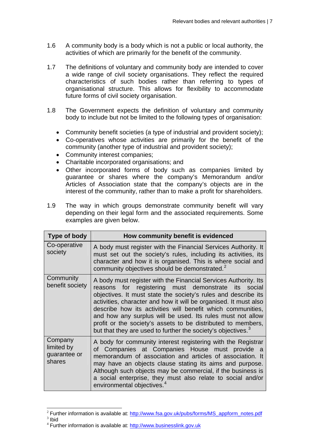- 1.6 A community body is a body which is not a public or local authority, the activities of which are primarily for the benefit of the community.
- 1.7 The definitions of voluntary and community body are intended to cover a wide range of civil society organisations. They reflect the required characteristics of such bodies rather than referring to types of organisational structure. This allows for flexibility to accommodate future forms of civil society organisation.
- 1.8 The Government expects the definition of voluntary and community body to include but not be limited to the following types of organisation:
	- Community benefit societies (a type of industrial and provident society);
	- Co-operatives whose activities are primarily for the benefit of the community (another type of industrial and provident society);
	- Community interest companies;
	- Charitable incorporated organisations; and
	- Other incorporated forms of body such as companies limited by guarantee or shares where the company's Memorandum and/or Articles of Association state that the company's objects are in the interest of the community, rather than to make a profit for shareholders.
- 1.9 The way in which groups demonstrate community benefit will vary depending on their legal form and the associated requirements. Some examples are given below.

| Type of body                                    | How community benefit is evidenced                                                                                                                                                                                                                                                                                                                                                                                                                                                                                                       |  |
|-------------------------------------------------|------------------------------------------------------------------------------------------------------------------------------------------------------------------------------------------------------------------------------------------------------------------------------------------------------------------------------------------------------------------------------------------------------------------------------------------------------------------------------------------------------------------------------------------|--|
| Co-operative<br>society                         | A body must register with the Financial Services Authority. It<br>must set out the society's rules, including its activities, its<br>character and how it is organised. This is where social and<br>community objectives should be demonstrated. <sup>2</sup>                                                                                                                                                                                                                                                                            |  |
| Community<br>benefit society                    | A body must register with the Financial Services Authority. Its<br>reasons for registering must demonstrate its<br>social<br>objectives. It must state the society's rules and describe its<br>activities, character and how it will be organised. It must also<br>describe how its activities will benefit which communities,<br>and how any surplus will be used. Its rules must not allow<br>profit or the society's assets to be distributed to members,<br>but that they are used to further the society's objectives. <sup>3</sup> |  |
| Company<br>limited by<br>guarantee or<br>shares | A body for community interest registering with the Registrar<br>of Companies at Companies House must provide a<br>memorandum of association and articles of association. It<br>may have an objects clause stating its aims and purpose.<br>Although such objects may be commercial, if the business is<br>a social enterprise, they must also relate to social and/or<br>environmental objectives. <sup>4</sup>                                                                                                                          |  |

<span id="page-7-1"></span><span id="page-7-0"></span><sup>&</sup>lt;sup>2</sup> Further information is available at:  $\frac{http://www.fsa.gov.uk/pubs/forms/MS_appform\_notes.pdf}{^3}$  Ibid

<span id="page-7-2"></span><sup>4</sup> Further information is available at: [http://www.businesslink.gov.uk](http://www.businesslink.gov.uk/)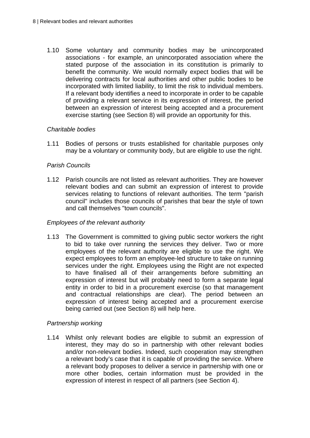1.10 Some voluntary and community bodies may be unincorporated associations - for example, an unincorporated association where the stated purpose of the association in its constitution is primarily to benefit the community. We would normally expect bodies that will be delivering contracts for local authorities and other public bodies to be incorporated with limited liability, to limit the risk to individual members. If a relevant body identifies a need to incorporate in order to be capable of providing a relevant service in its expression of interest, the period between an expression of interest being accepted and a procurement exercise starting (see Section 8) will provide an opportunity for this.

#### *Charitable bodies*

1.11 Bodies of persons or trusts established for charitable purposes only may be a voluntary or community body, but are eligible to use the right.

#### *Parish Councils*

1.12 Parish councils are not listed as relevant authorities. They are however relevant bodies and can submit an expression of interest to provide services relating to functions of relevant authorities. The term "parish council" includes those councils of parishes that bear the style of town and call themselves "town councils".

#### *Employees of the relevant authority*

1.13 The Government is committed to giving public sector workers the right to bid to take over running the services they deliver. Two or more employees of the relevant authority are eligible to use the right. We expect employees to form an employee-led structure to take on running services under the right. Employees using the Right are not expected to have finalised all of their arrangements before submitting an expression of interest but will probably need to form a separate legal entity in order to bid in a procurement exercise (so that management and contractual relationships are clear). The period between an expression of interest being accepted and a procurement exercise being carried out (see Section 8) will help here.

#### *Partnership working*

1.14 Whilst only relevant bodies are eligible to submit an expression of interest, they may do so in partnership with other relevant bodies and/or non-relevant bodies. Indeed, such cooperation may strengthen a relevant body's case that it is capable of providing the service. Where a relevant body proposes to deliver a service in partnership with one or more other bodies, certain information must be provided in the expression of interest in respect of all partners (see Section 4).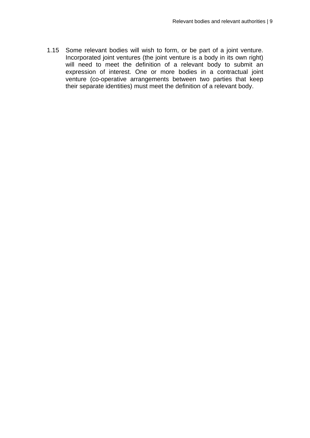1.15 Some relevant bodies will wish to form, or be part of a joint venture. Incorporated joint ventures (the joint venture is a body in its own right) will need to meet the definition of a relevant body to submit an expression of interest. One or more bodies in a contractual joint venture (co-operative arrangements between two parties that keep their separate identities) must meet the definition of a relevant body.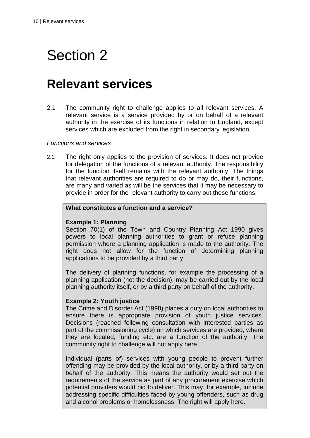### **Relevant services**

2.1 The community right to challenge applies to all relevant services. A relevant service is a service provided by or on behalf of a relevant authority in the exercise of its functions in relation to England, except services which are excluded from the right in secondary legislation.

#### *Functions and services*

2.2 The right only applies to the provision of services. It does not provide for delegation of the functions of a relevant authority. The responsibility for the function itself remains with the relevant authority. The things that relevant authorities are required to do or may do, their functions, are many and varied as will be the services that it may be necessary to provide in order for the relevant authority to carry out those functions.

#### **What constitutes a function and a service?**

#### **Example 1: Planning**

Section 70(1) of the Town and Country Planning Act 1990 gives powers to local planning authorities to grant or refuse planning permission where a planning application is made to the authority. The right does not allow for the function of determining planning applications to be provided by a third party.

The delivery of planning functions, for example the processing of a planning application (not the decision), may be carried out by the local planning authority itself, or by a third party on behalf of the authority.

#### **Example 2: Youth justice**

The Crime and Disorder Act (1998) places a duty on local authorities to ensure there is appropriate provision of youth justice services. Decisions (reached following consultation with interested parties as part of the commissioning cycle) on which services are provided, where they are located, funding etc. are a function of the authority. The community right to challenge will not apply here.

Individual (parts of) services with young people to prevent further offending may be provided by the local authority, or by a third party on behalf of the authority. This means the authority would set out the requirements of the service as part of any procurement exercise which potential providers would bid to deliver. This may, for example, include addressing specific difficulties faced by young offenders, such as drug and alcohol problems or homelessness. The right will apply here.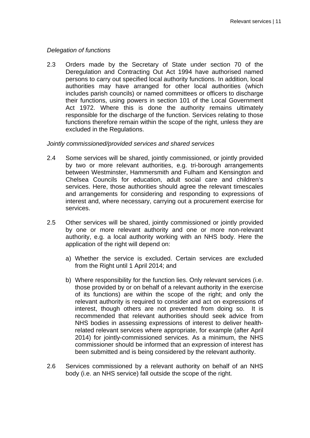#### *Delegation of functions*

2.3 Orders made by the Secretary of State under section 70 of the Deregulation and Contracting Out Act 1994 have authorised named persons to carry out specified local authority functions. In addition, local authorities may have arranged for other local authorities (which includes parish councils) or named committees or officers to discharge their functions, using powers in section 101 of the Local Government Act 1972. Where this is done the authority remains ultimately responsible for the discharge of the function. Services relating to those functions therefore remain within the scope of the right, unless they are excluded in the Regulations.

#### *Jointly commissioned/provided services and shared services*

- 2.4 Some services will be shared, jointly commissioned, or jointly provided by two or more relevant authorities, e.g. tri-borough arrangements between Westminster, Hammersmith and Fulham and Kensington and Chelsea Councils for education, adult social care and children's services. Here, those authorities should agree the relevant timescales and arrangements for considering and responding to expressions of interest and, where necessary, carrying out a procurement exercise for services.
- 2.5 Other services will be shared, jointly commissioned or jointly provided by one or more relevant authority and one or more non-relevant authority, e.g. a local authority working with an NHS body. Here the application of the right will depend on:
	- a) Whether the service is excluded. Certain services are excluded from the Right until 1 April 2014; and
	- b) Where responsibility for the function lies. Only relevant services (i.e. those provided by or on behalf of a relevant authority in the exercise of its functions) are within the scope of the right; and only the relevant authority is required to consider and act on expressions of interest, though others are not prevented from doing so. It is recommended that relevant authorities should seek advice from NHS bodies in assessing expressions of interest to deliver healthrelated relevant services where appropriate, for example (after April 2014) for jointly-commissioned services. As a minimum, the NHS commissioner should be informed that an expression of interest has been submitted and is being considered by the relevant authority.
- 2.6 Services commissioned by a relevant authority on behalf of an NHS body (i.e. an NHS service) fall outside the scope of the right.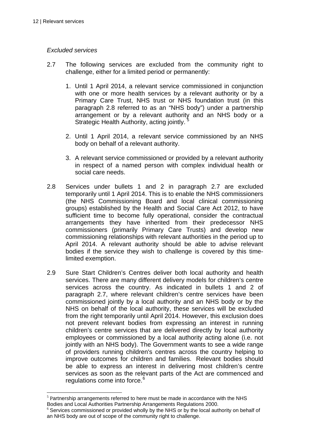#### *Excluded services*

- 2.7 The following services are excluded from the community right to challenge, either for a limited period or permanently:
	- 1. Until 1 April 2014, a relevant service commissioned in conjunction with one or more health services by a relevant authority or by a Primary Care Trust, NHS trust or NHS foundation trust (in this paragraph 2.8 referred to as an "NHS body") under a partnership arrangement or by a relevant authority and an NHS body or a Strategic Health Authority, acting jointly.
	- 2. Until 1 April 2014, a relevant service commissioned by an NHS body on behalf of a relevant authority.
	- 3. A relevant service commissioned or provided by a relevant authority in respect of a named person with complex individual health or social care needs.
- 2.8 Services under bullets 1 and 2 in paragraph 2.7 are excluded temporarily until 1 April 2014. This is to enable the NHS commissioners (the NHS Commissioning Board and local clinical commissioning groups) established by the Health and Social Care Act 2012, to have sufficient time to become fully operational, consider the contractual arrangements they have inherited from their predecessor NHS commissioners (primarily Primary Care Trusts) and develop new commissioning relationships with relevant authorities in the period up to April 2014. A relevant authority should be able to advise relevant bodies if the service they wish to challenge is covered by this timelimited exemption.
- 2.9 Sure Start Children's Centres deliver both local authority and health services. There are many different delivery models for children's centre services across the country. As indicated in bullets 1 and 2 of paragraph 2.7, where relevant children's centre services have been commissioned jointly by a local authority and an NHS body or by the NHS on behalf of the local authority, these services will be excluded from the right temporarily until April 2014. However, this exclusion does not prevent relevant bodies from expressing an interest in running children's centre services that are delivered directly by local authority employees or commissioned by a local authority acting alone (i.e. not jointly with an NHS body). The Government wants to see a wide range of providers running children's centres across the country helping to improve outcomes for children and families. Relevant bodies should be able to express an interest in delivering most children's centre services as soon as the relevant parts of the Act are commenced and regulations come into force.<sup>[6](#page-12-1)</sup>

<span id="page-12-0"></span>  $5$  Partnership arrangements referred to here must be made in accordance with the NHS Bodies and Local Authorities Partnership Arrangements Regulations 2000.

<span id="page-12-1"></span> $6$  Services commissioned or provided wholly by the NHS or by the local authority on behalf of an NHS body are out of scope of the community right to challenge.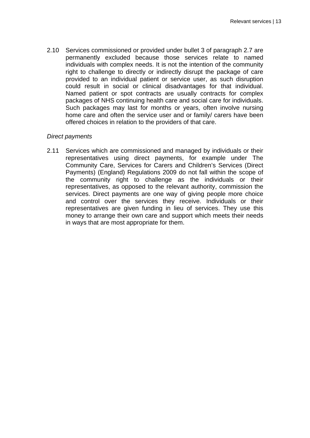2.10 Services commissioned or provided under bullet 3 of paragraph 2.7 are permanently excluded because those services relate to named individuals with complex needs. It is not the intention of the community right to challenge to directly or indirectly disrupt the package of care provided to an individual patient or service user, as such disruption could result in social or clinical disadvantages for that individual. Named patient or spot contracts are usually contracts for complex packages of NHS continuing health care and social care for individuals. Such packages may last for months or years, often involve nursing home care and often the service user and or family/ carers have been offered choices in relation to the providers of that care.

#### *Direct payments*

2.11 Services which are commissioned and managed by individuals or their representatives using direct payments, for example under The Community Care, Services for Carers and Children's Services (Direct Payments) (England) Regulations 2009 do not fall within the scope of the community right to challenge as the individuals or their representatives, as opposed to the relevant authority, commission the services. Direct payments are one way of giving people more choice and control over the services they receive. Individuals or their representatives are given funding in lieu of services. They use this money to arrange their own care and support which meets their needs in ways that are most appropriate for them.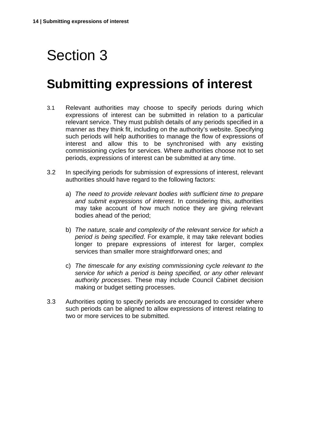## **Submitting expressions of interest**

- 3.1 Relevant authorities may choose to specify periods during which expressions of interest can be submitted in relation to a particular relevant service. They must publish details of any periods specified in a manner as they think fit, including on the authority's website. Specifying such periods will help authorities to manage the flow of expressions of interest and allow this to be synchronised with any existing commissioning cycles for services. Where authorities choose not to set periods, expressions of interest can be submitted at any time.
- 3.2 In specifying periods for submission of expressions of interest, relevant authorities should have regard to the following factors:
	- a) *The need to provide relevant bodies with sufficient time to prepare and submit expressions of interest*. In considering this, authorities may take account of how much notice they are giving relevant bodies ahead of the period;
	- b) *The nature, scale and complexity of the relevant service for which a period is being specified*. For example, it may take relevant bodies longer to prepare expressions of interest for larger, complex services than smaller more straightforward ones; and
	- c) *The timescale for any existing commissioning cycle relevant to the service for which a period is being specified, or any other relevant authority processes*. These may include Council Cabinet decision making or budget setting processes.
- 3.3 Authorities opting to specify periods are encouraged to consider where such periods can be aligned to allow expressions of interest relating to two or more services to be submitted.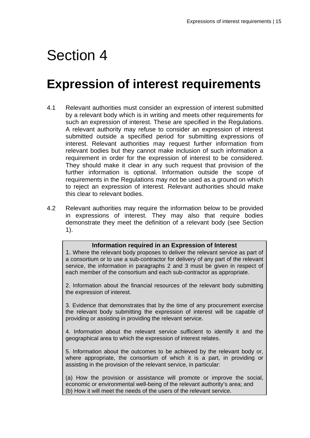### **Expression of interest requirements**

- 4.1 Relevant authorities must consider an expression of interest submitted by a relevant body which is in writing and meets other requirements for such an expression of interest. These are specified in the Regulations. A relevant authority may refuse to consider an expression of interest submitted outside a specified period for submitting expressions of interest. Relevant authorities may request further information from relevant bodies but they cannot make inclusion of such information a requirement in order for the expression of interest to be considered. They should make it clear in any such request that provision of the further information is optional. Information outside the scope of requirements in the Regulations may not be used as a ground on which to reject an expression of interest. Relevant authorities should make this clear to relevant bodies.
- 4.2 Relevant authorities may require the information below to be provided in expressions of interest. They may also that require bodies demonstrate they meet the definition of a relevant body (see Section 1).

#### **Information required in an Expression of Interest**

1. Where the relevant body proposes to deliver the relevant service as part of a consortium or to use a sub-contractor for delivery of any part of the relevant service, the information in paragraphs 2 and 3 must be given in respect of each member of the consortium and each sub-contractor as appropriate.

2. Information about the financial resources of the relevant body submitting the expression of interest.

3. Evidence that demonstrates that by the time of any procurement exercise the relevant body submitting the expression of interest will be capable of providing or assisting in providing the relevant service.

4. Information about the relevant service sufficient to identify it and the geographical area to which the expression of interest relates.

5. Information about the outcomes to be achieved by the relevant body or, where appropriate, the consortium of which it is a part, in providing or assisting in the provision of the relevant service, in particular:

(a) How the provision or assistance will promote or improve the social, economic or environmental well-being of the relevant authority's area; and (b) How it will meet the needs of the users of the relevant service.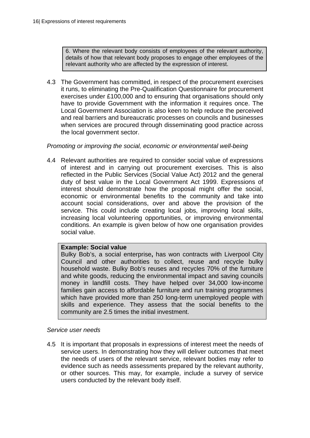6. Where the relevant body consists of employees of the relevant authority, details of how that relevant body proposes to engage other employees of the relevant authority who are affected by the expression of interest.

4.3 The Government has committed, in respect of the procurement exercises it runs, to eliminating the Pre-Qualification Questionnaire for procurement exercises under £100,000 and to ensuring that organisations should only have to provide Government with the information it requires once. The Local Government Association is also keen to help reduce the perceived and real barriers and bureaucratic processes on councils and businesses when services are procured through disseminating good practice across the local government sector.

#### *Promoting or improving the social, economic or environmental well-being*

4.4 Relevant authorities are required to consider social value of expressions of interest and in carrying out procurement exercises. This is also reflected in the Public Services (Social Value Act) 2012 and the general duty of best value in the Local Government Act 1999. Expressions of interest should demonstrate how the proposal might offer the social, economic or environmental benefits to the community and take into account social considerations, over and above the provision of the service. This could include creating local jobs, improving local skills, increasing local volunteering opportunities, or improving environmental conditions. An example is given below of how one organisation provides social value.

#### **Example: Social value**

Bulky Bob's, a social enterprise**,** has won contracts with Liverpool City Council and other authorities to collect, reuse and recycle bulky household waste. Bulky Bob's reuses and recycles 70% of the furniture and white goods, reducing the environmental impact and saving councils money in landfill costs. They have helped over 34,000 low-income families gain access to affordable furniture and run training programmes which have provided more than 250 long-term unemployed people with skills and experience. They assess that the social benefits to the community are 2.5 times the initial investment.

#### *Service user needs*

4.5 It is important that proposals in expressions of interest meet the needs of service users. In demonstrating how they will deliver outcomes that meet the needs of users of the relevant service, relevant bodies may refer to evidence such as needs assessments prepared by the relevant authority, or other sources. This may, for example, include a survey of service users conducted by the relevant body itself.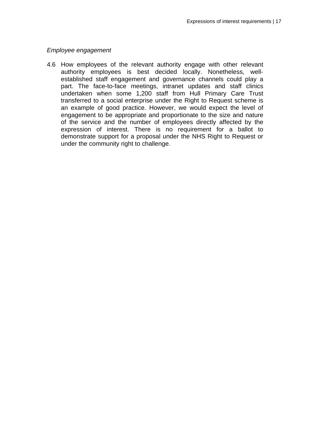#### *Employee engagement*

4.6 How employees of the relevant authority engage with other relevant authority employees is best decided locally. Nonetheless, wellestablished staff engagement and governance channels could play a part. The face-to-face meetings, intranet updates and staff clinics undertaken when some 1,200 staff from Hull Primary Care Trust transferred to a social enterprise under the Right to Request scheme is an example of good practice. However, we would expect the level of engagement to be appropriate and proportionate to the size and nature of the service and the number of employees directly affected by the expression of interest. There is no requirement for a ballot to demonstrate support for a proposal under the NHS Right to Request or under the community right to challenge.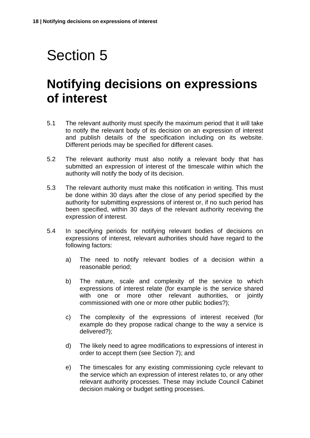### **Notifying decisions on expressions of interest**

- 5.1 The relevant authority must specify the maximum period that it will take to notify the relevant body of its decision on an expression of interest and publish details of the specification including on its website. Different periods may be specified for different cases.
- 5.2 The relevant authority must also notify a relevant body that has submitted an expression of interest of the timescale within which the authority will notify the body of its decision.
- 5.3 The relevant authority must make this notification in writing. This must be done within 30 days after the close of any period specified by the authority for submitting expressions of interest or, if no such period has been specified, within 30 days of the relevant authority receiving the expression of interest.
- 5.4 In specifying periods for notifying relevant bodies of decisions on expressions of interest, relevant authorities should have regard to the following factors:
	- a) The need to notify relevant bodies of a decision within a reasonable period;
	- b) The nature, scale and complexity of the service to which expressions of interest relate (for example is the service shared with one or more other relevant authorities, or jointly commissioned with one or more other public bodies?);
	- c) The complexity of the expressions of interest received (for example do they propose radical change to the way a service is delivered?);
	- d) The likely need to agree modifications to expressions of interest in order to accept them (see Section 7); and
	- e) The timescales for any existing commissioning cycle relevant to the service which an expression of interest relates to, or any other relevant authority processes. These may include Council Cabinet decision making or budget setting processes.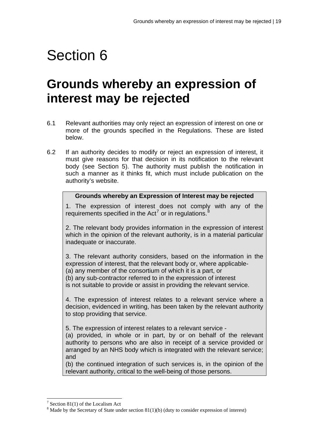## **Grounds whereby an expression of interest may be rejected**

- 6.1 Relevant authorities may only reject an expression of interest on one or more of the grounds specified in the Regulations. These are listed below.
- 6.2 If an authority decides to modify or reject an expression of interest, it must give reasons for that decision in its notification to the relevant body (see Section 5). The authority must publish the notification in such a manner as it thinks fit, which must include publication on the authority's website.

#### **Grounds whereby an Expression of Interest may be rejected**

1. The expression of interest does not comply with any of the requirements specified in the Act<sup>[7](#page-19-0)</sup> or in regulations.<sup>[8](#page-19-1)</sup>

2. The relevant body provides information in the expression of interest which in the opinion of the relevant authority, is in a material particular inadequate or inaccurate.

3. The relevant authority considers, based on the information in the expression of interest, that the relevant body or, where applicable- (a) any member of the consortium of which it is a part, or

(b) any sub-contractor referred to in the expression of interest

is not suitable to provide or assist in providing the relevant service.

4. The expression of interest relates to a relevant service where a decision, evidenced in writing, has been taken by the relevant authority to stop providing that service.

5. The expression of interest relates to a relevant service -

(a) provided, in whole or in part, by or on behalf of the relevant authority to persons who are also in receipt of a service provided or arranged by an NHS body which is integrated with the relevant service; and

(b) the continued integration of such services is, in the opinion of the relevant authority, critical to the well-being of those persons.

 $\overline{a}$ 

<span id="page-19-0"></span><sup>&</sup>lt;sup>7</sup> Section 81(1) of the Localism Act

<span id="page-19-1"></span> $8$  Made by the Secretary of State under section 81(1)(b) (duty to consider expression of interest)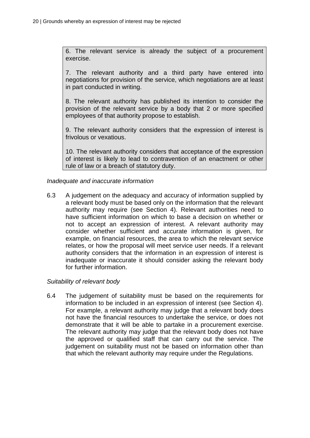6. The relevant service is already the subject of a procurement exercise.

7. The relevant authority and a third party have entered into negotiations for provision of the service, which negotiations are at least in part conducted in writing.

8. The relevant authority has published its intention to consider the provision of the relevant service by a body that 2 or more specified employees of that authority propose to establish.

9. The relevant authority considers that the expression of interest is frivolous or vexatious.

10. The relevant authority considers that acceptance of the expression of interest is likely to lead to contravention of an enactment or other rule of law or a breach of statutory duty.

#### *Inadequate and inaccurate information*

6.3 A judgement on the adequacy and accuracy of information supplied by a relevant body must be based only on the information that the relevant authority may require (see Section 4). Relevant authorities need to have sufficient information on which to base a decision on whether or not to accept an expression of interest. A relevant authority may consider whether sufficient and accurate information is given, for example, on financial resources, the area to which the relevant service relates, or how the proposal will meet service user needs. If a relevant authority considers that the information in an expression of interest is inadequate or inaccurate it should consider asking the relevant body for further information.

#### *Suitability of relevant body*

6.4 The judgement of suitability must be based on the requirements for information to be included in an expression of interest (see Section 4). For example, a relevant authority may judge that a relevant body does not have the financial resources to undertake the service, or does not demonstrate that it will be able to partake in a procurement exercise. The relevant authority may judge that the relevant body does not have the approved or qualified staff that can carry out the service. The judgement on suitability must not be based on information other than that which the relevant authority may require under the Regulations.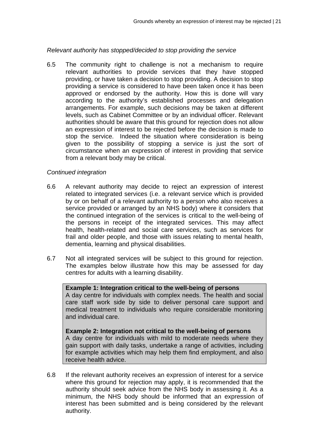*Relevant authority has stopped/decided to stop providing the service* 

6.5 The community right to challenge is not a mechanism to require relevant authorities to provide services that they have stopped providing, or have taken a decision to stop providing. A decision to stop providing a service is considered to have been taken once it has been approved or endorsed by the authority. How this is done will vary according to the authority's established processes and delegation arrangements. For example, such decisions may be taken at different levels, such as Cabinet Committee or by an individual officer. Relevant authorities should be aware that this ground for rejection does not allow an expression of interest to be rejected before the decision is made to stop the service. Indeed the situation where consideration is being given to the possibility of stopping a service is just the sort of circumstance when an expression of interest in providing that service from a relevant body may be critical.

#### *Continued integration*

- 6.6 A relevant authority may decide to reject an expression of interest related to integrated services (i.e. a relevant service which is provided by or on behalf of a relevant authority to a person who also receives a service provided or arranged by an NHS body) where it considers that the continued integration of the services is critical to the well-being of the persons in receipt of the integrated services. This may affect health, health-related and social care services, such as services for frail and older people, and those with issues relating to mental health, dementia, learning and physical disabilities.
- 6.7 Not all integrated services will be subject to this ground for rejection. The examples below illustrate how this may be assessed for day centres for adults with a learning disability.

#### **Example 1: Integration critical to the well-being of persons**

A day centre for individuals with complex needs. The health and social care staff work side by side to deliver personal care support and medical treatment to individuals who require considerable monitoring and individual care.

**Example 2: Integration not critical to the well-being of persons**  A day centre for individuals with mild to moderate needs where they gain support with daily tasks, undertake a range of activities, including for example activities which may help them find employment, and also receive health advice.

6.8 If the relevant authority receives an expression of interest for a service where this ground for rejection may apply, it is recommended that the authority should seek advice from the NHS body in assessing it. As a minimum, the NHS body should be informed that an expression of interest has been submitted and is being considered by the relevant authority.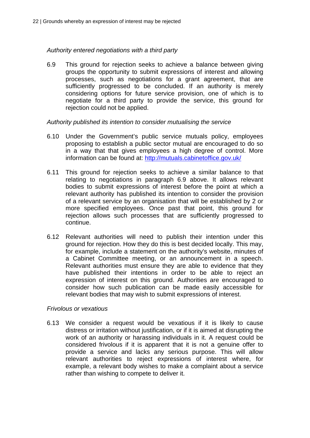#### *Authority entered negotiations with a third party*

6.9 This ground for rejection seeks to achieve a balance between giving groups the opportunity to submit expressions of interest and allowing processes, such as negotiations for a grant agreement, that are sufficiently progressed to be concluded. If an authority is merely considering options for future service provision, one of which is to negotiate for a third party to provide the service, this ground for rejection could not be applied.

#### *Authority published its intention to consider mutualising the service*

- 6.10 Under the Government's public service mutuals policy, employees proposing to establish a public sector mutual are encouraged to do so in a way that that gives employees a high degree of control. More information can be found at:<http://mutuals.cabinetoffice.gov.uk/>
- 6.11 This ground for rejection seeks to achieve a similar balance to that relating to negotiations in paragraph 6.9 above. It allows relevant bodies to submit expressions of interest before the point at which a relevant authority has published its intention to consider the provision of a relevant service by an organisation that will be established by 2 or more specified employees. Once past that point, this ground for rejection allows such processes that are sufficiently progressed to continue.
- 6.12 Relevant authorities will need to publish their intention under this ground for rejection. How they do this is best decided locally. This may, for example, include a statement on the authority's website, minutes of a Cabinet Committee meeting, or an announcement in a speech. Relevant authorities must ensure they are able to evidence that they have published their intentions in order to be able to reject an expression of interest on this ground. Authorities are encouraged to consider how such publication can be made easily accessible for relevant bodies that may wish to submit expressions of interest.

#### *Frivolous or vexatious*

6.13 We consider a request would be vexatious if it is likely to cause distress or irritation without justification, or if it is aimed at disrupting the work of an authority or harassing individuals in it. A request could be considered frivolous if it is apparent that it is not a genuine offer to provide a service and lacks any serious purpose. This will allow relevant authorities to reject expressions of interest where, for example, a relevant body wishes to make a complaint about a service rather than wishing to compete to deliver it.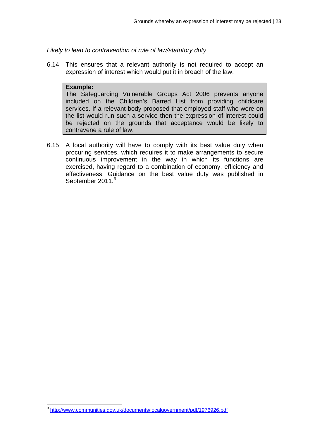*Likely to lead to contravention of rule of law/statutory duty* 

6.14 This ensures that a relevant authority is not required to accept an expression of interest which would put it in breach of the law.

#### **Example:**

The Safeguarding Vulnerable Groups Act 2006 prevents anyone included on the Children's Barred List from providing childcare services. If a relevant body proposed that employed staff who were on the list would run such a service then the expression of interest could be rejected on the grounds that acceptance would be likely to contravene a rule of law.

6.15 A local authority will have to comply with its best value duty when procuring services, which requires it to make arrangements to secure continuous improvement in the way in which its functions are exercised, having regard to a combination of economy, efficiency and effectiveness. Guidance on the best value duty was published in September 2011.<sup>[9](#page-23-0)</sup>

<span id="page-23-0"></span><sup>&</sup>lt;sup>9</sup> <http://www.communities.gov.uk/documents/localgovernment/pdf/1976926.pdf>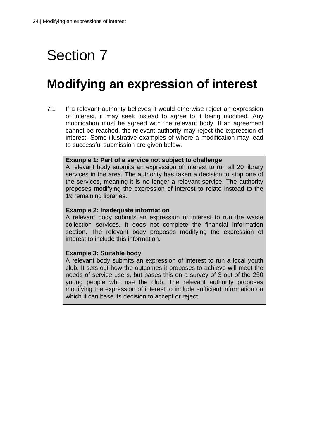## **Modifying an expression of interest**

7.1 If a relevant authority believes it would otherwise reject an expression of interest, it may seek instead to agree to it being modified. Any modification must be agreed with the relevant body. If an agreement cannot be reached, the relevant authority may reject the expression of interest. Some illustrative examples of where a modification may lead to successful submission are given below.

#### **Example 1: Part of a service not subject to challenge**

A relevant body submits an expression of interest to run all 20 library services in the area. The authority has taken a decision to stop one of the services, meaning it is no longer a relevant service. The authority proposes modifying the expression of interest to relate instead to the 19 remaining libraries.

#### **Example 2: Inadequate information**

A relevant body submits an expression of interest to run the waste collection services. It does not complete the financial information section. The relevant body proposes modifying the expression of interest to include this information.

#### **Example 3: Suitable body**

A relevant body submits an expression of interest to run a local youth club. It sets out how the outcomes it proposes to achieve will meet the needs of service users, but bases this on a survey of 3 out of the 250 young people who use the club. The relevant authority proposes modifying the expression of interest to include sufficient information on which it can base its decision to accept or reject.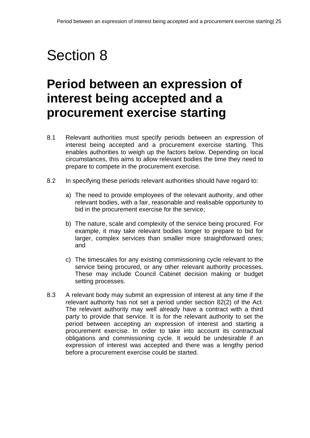## **Period between an expression of interest being accepted and a procurement exercise starting**

- 8.1 Relevant authorities must specify periods between an expression of interest being accepted and a procurement exercise starting. This enables authorities to weigh up the factors below. Depending on local circumstances, this aims to allow relevant bodies the time they need to prepare to compete in the procurement exercise.
- 8.2 In specifying these periods relevant authorities should have regard to:
	- a) The need to provide employees of the relevant authority, and other relevant bodies, with a fair, reasonable and realisable opportunity to bid in the procurement exercise for the service;
	- b) The nature, scale and complexity of the service being procured. For example, it may take relevant bodies longer to prepare to bid for larger, complex services than smaller more straightforward ones; and
	- c) The timescales for any existing commissioning cycle relevant to the service being procured, or any other relevant authority processes. These may include Council Cabinet decision making or budget setting processes.
- 8.3 A relevant body may submit an expression of interest at any time if the relevant authority has not set a period under section 82(2) of the Act. The relevant authority may well already have a contract with a third party to provide that service. It is for the relevant authority to set the period between accepting an expression of interest and starting a procurement exercise. In order to take into account its contractual obligations and commissioning cycle. It would be undesirable if an expression of interest was accepted and there was a lengthy period before a procurement exercise could be started.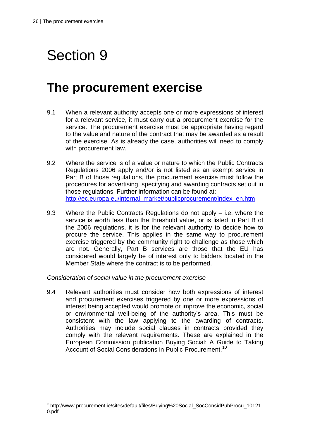## Section 9

### **The procurement exercise**

- 9.1 When a relevant authority accepts one or more expressions of interest for a relevant service, it must carry out a procurement exercise for the service. The procurement exercise must be appropriate having regard to the value and nature of the contract that may be awarded as a result of the exercise. As is already the case, authorities will need to comply with procurement law.
- 9.2 Where the service is of a value or nature to which the Public Contracts Regulations 2006 apply and/or is not listed as an exempt service in Part B of those regulations, the procurement exercise must follow the procedures for advertising, specifying and awarding contracts set out in those regulations. Further information can be found at: [http://ec.europa.eu/internal\\_market/publicprocurement/index\\_en.htm](http://ec.europa.eu/internal_market/publicprocurement/index_en.htm)
- 9.3 Where the Public Contracts Regulations do not apply i.e. where the service is worth less than the threshold value, or is listed in Part B of the 2006 regulations, it is for the relevant authority to decide how to procure the service. This applies in the same way to procurement exercise triggered by the community right to challenge as those which are not. Generally, Part B services are those that the EU has considered would largely be of interest only to bidders located in the Member State where the contract is to be performed.

*Consideration of social value in the procurement exercise* 

9.4 Relevant authorities must consider how both expressions of interest and procurement exercises triggered by one or more expressions of interest being accepted would promote or improve the economic, social or environmental well-being of the authority's area. This must be consistent with the law applying to the awarding of contracts. Authorities may include social clauses in contracts provided they comply with the relevant requirements. These are explained in the European Commission publication Buying Social: A Guide to Taking Account of Social Considerations in Public Procurement.<sup>[10](#page-26-0)</sup>

<span id="page-26-0"></span><sup>10</sup>http://www.procurement.ie/sites/default/files/Buying%20Social\_SocConsidPubProcu\_10121 0.pdf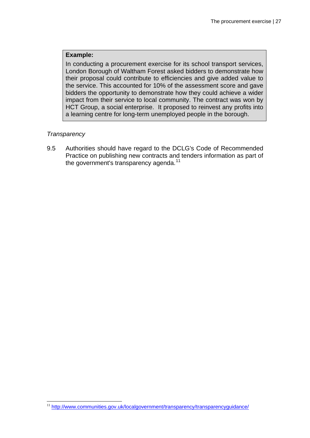#### **Example:**

In conducting a procurement exercise for its school transport services, London Borough of Waltham Forest asked bidders to demonstrate how their proposal could contribute to efficiencies and give added value to the service. This accounted for 10% of the assessment score and gave bidders the opportunity to demonstrate how they could achieve a wider impact from their service to local community. The contract was won by HCT Group, a social enterprise. It proposed to reinvest any profits into a learning centre for long-term unemployed people in the borough.

#### *Transparency*

 $\overline{a}$ 

9.5 Authorities should have regard to the DCLG's Code of Recommended Practice on publishing new contracts and tenders information as part of the government's transparency agenda.<sup>[11](#page-27-0)</sup>

<span id="page-27-0"></span><sup>&</sup>lt;sup>11</sup> <http://www.communities.gov.uk/localgovernment/transparency/transparencyguidance/>